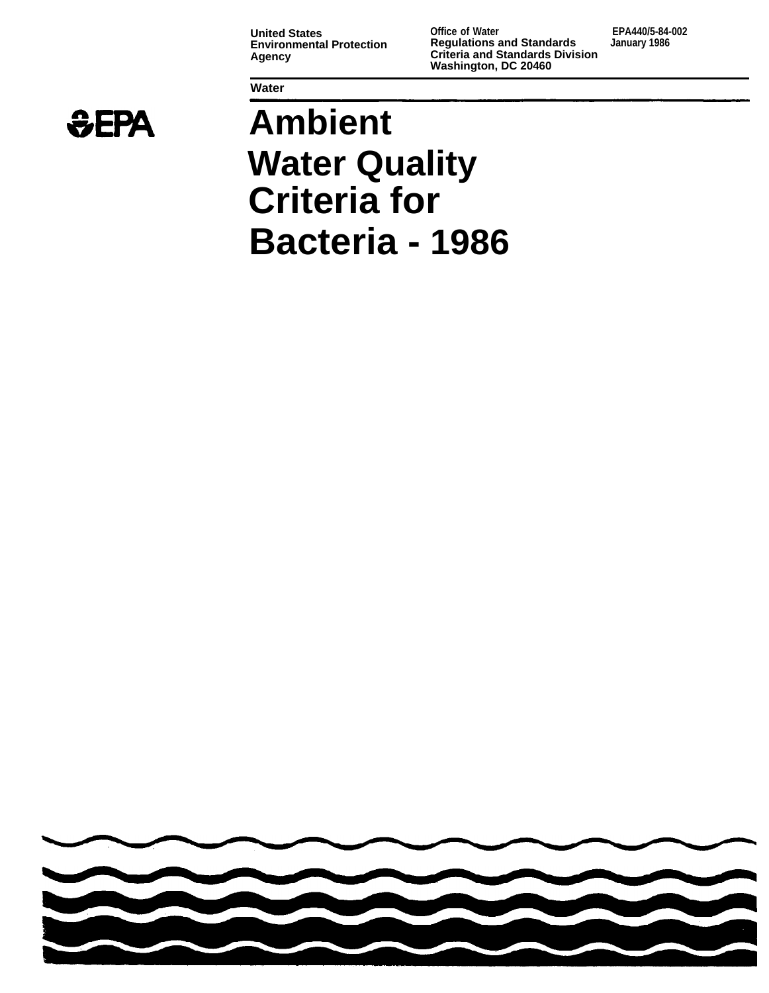**Environmental Protection<br>Agency** 

**Water** 

**United States Office of Water EPA440/5-84-002 Agency Criteria and Standards Division Washington, DC 20460** 



# **Ambient Water Quality Criteria for Bacteria - 1986**

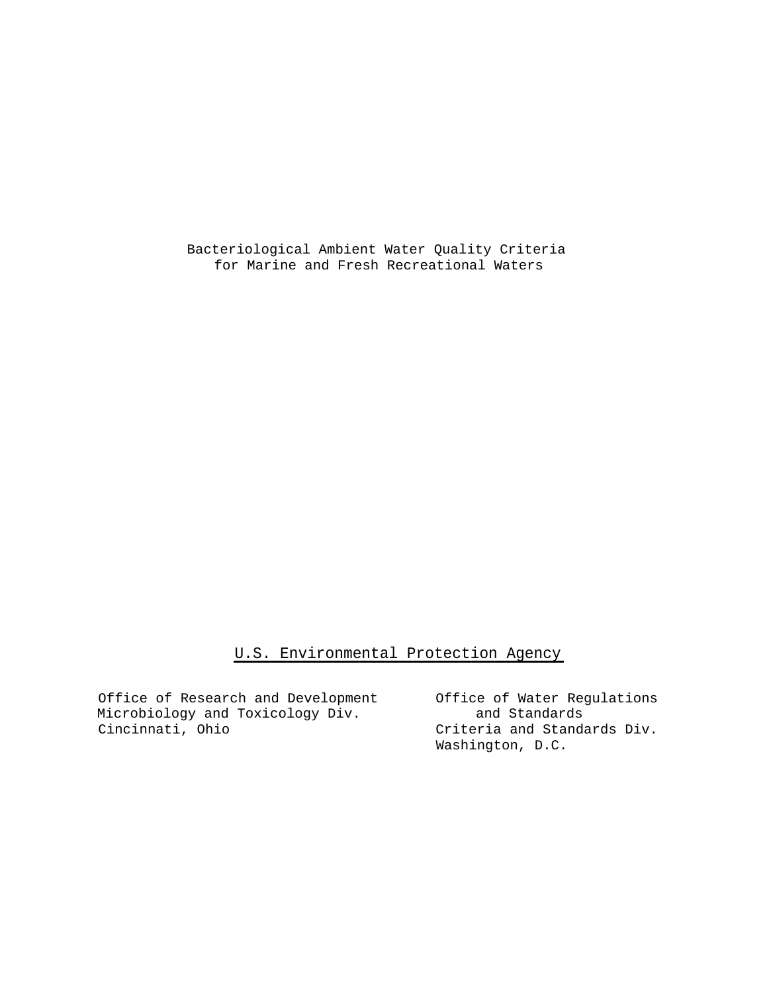Bacteriological Ambient Water Quality Criteria for Marine and Fresh Recreational Waters

### U.S. Environmental Protection Agency

Office of Research and Development Office of Water Regulations<br>Microbiology and Toxicology Div. and Standards Microbiology and Toxicology Div. Cincinnati, Ohio Criteria and Standards Div.

Washington, D.C.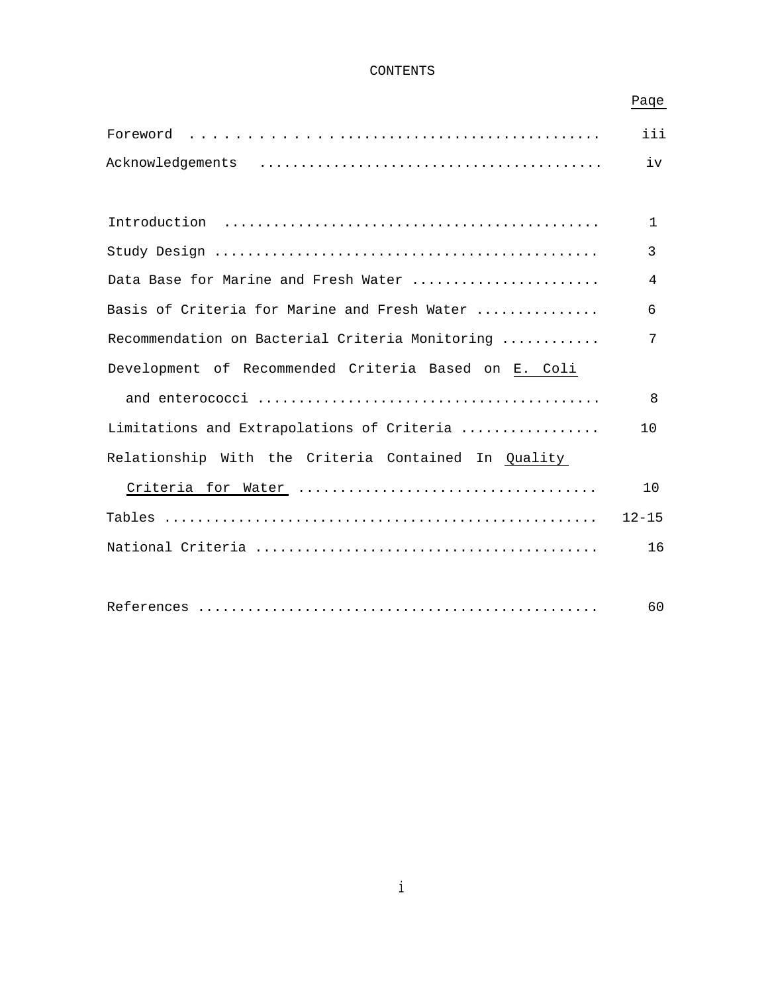#### CONTENTS

## Paqe

|                                                      | iii         |
|------------------------------------------------------|-------------|
|                                                      | iv          |
|                                                      |             |
|                                                      | $\mathbf 1$ |
|                                                      | 3           |
| Data Base for Marine and Fresh Water                 | 4           |
| Basis of Criteria for Marine and Fresh Water         | 6           |
| Recommendation on Bacterial Criteria Monitoring      | 7           |
| Development of Recommended Criteria Based on E. Coli |             |
|                                                      | 8           |
| Limitations and Extrapolations of Criteria           | 10          |
| Relationship With the Criteria Contained In Quality  |             |
|                                                      | 10          |
|                                                      | $12 - 15$   |
|                                                      | 16          |
|                                                      |             |
|                                                      | 60          |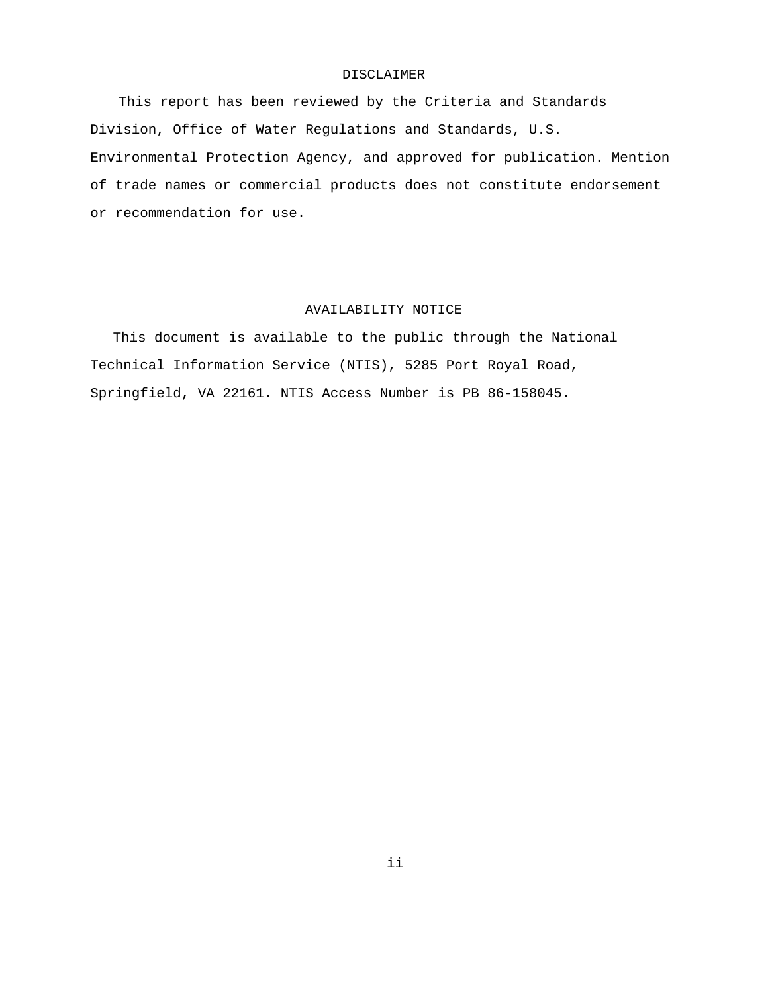#### DISCLAIMER

This report has been reviewed by the Criteria and Standards Division, Office of Water Regulations and Standards, U.S. Environmental Protection Agency, and approved for publication. Mention of trade names or commercial products does not constitute endorsement or recommendation for use.

#### AVAILABILITY NOTICE

This document is available to the public through the National Technical Information Service (NTIS), 5285 Port Royal Road, Springfield, VA 22161. NTIS Access Number is PB 86-158045.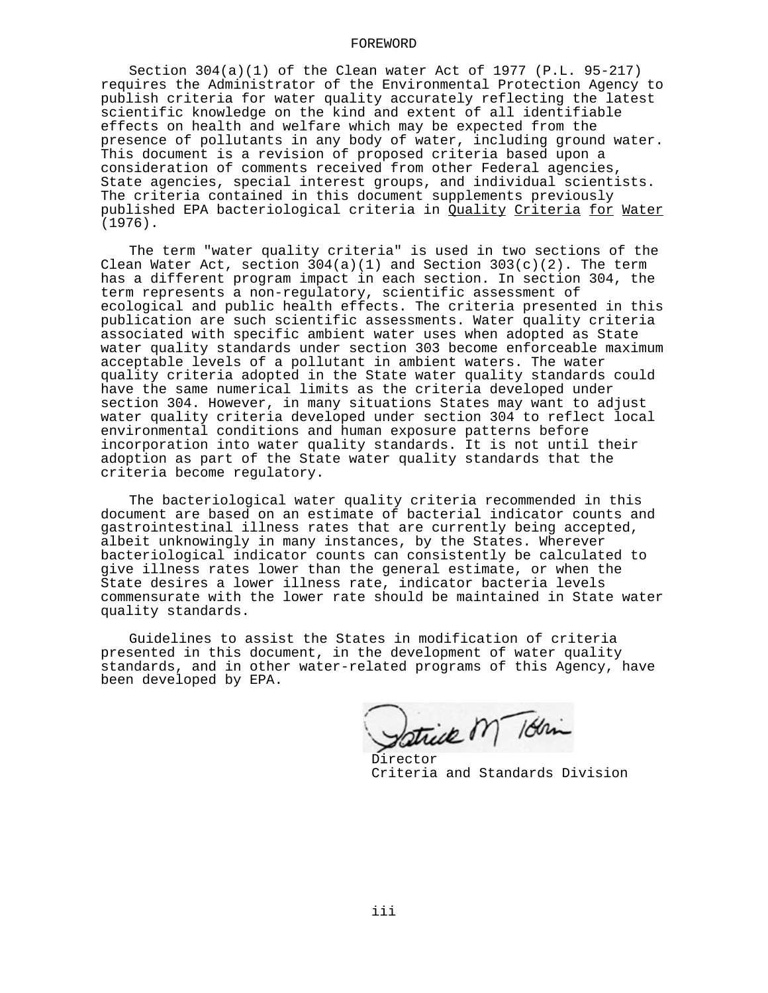#### FOREWORD

Section 304(a)(1) of the Clean water Act of 1977 (P.L. 95-217) requires the Administrator of the Environmental Protection Agency to publish criteria for water quality accurately reflecting the latest scientific knowledge on the kind and extent of all identifiable effects on health and welfare which may be expected from the presence of pollutants in any body of water, including ground water. This document is a revision of proposed criteria based upon a consideration of comments received from other Federal agencies, State agencies, special interest groups, and individual scientists. The criteria contained in this document supplements previously published EPA bacteriological criteria in Quality Criteria for Water (1976).

The term "water quality criteria" is used in two sections of the Clean Water Act, section 304(a)(1) and Section 303(c)(2). The term has a different program impact in each section. In section 304, the term represents a non-regulatory, scientific assessment of ecological and public health effects. The criteria presented in this publication are such scientific assessments. Water quality criteria associated with specific ambient water uses when adopted as State water quality standards under section 303 become enforceable maximum acceptable levels of a pollutant in ambient waters. The water quality criteria adopted in the State water quality standards could have the same numerical limits as the criteria developed under section 304. However, in many situations States may want to adjust water quality criteria developed under section 304 to reflect local environmental conditions and human exposure patterns before incorporation into water quality standards. It is not until their adoption as part of the State water quality standards that the criteria become regulatory.

The bacteriological water quality criteria recommended in this document are based on an estimate of bacterial indicator counts and gastrointestinal illness rates that are currently being accepted, albeit unknowingly in many instances, by the States. Wherever bacteriological indicator counts can consistently be calculated to give illness rates lower than the general estimate, or when the State desires a lower illness rate, indicator bacteria levels commensurate with the lower rate should be maintained in State water quality standards.

Guidelines to assist the States in modification of criteria presented in this document, in the development of water quality standards, and in other water-related programs of this Agency, have been developed by EPA.

Satrick M 18hin

Director Criteria and Standards Division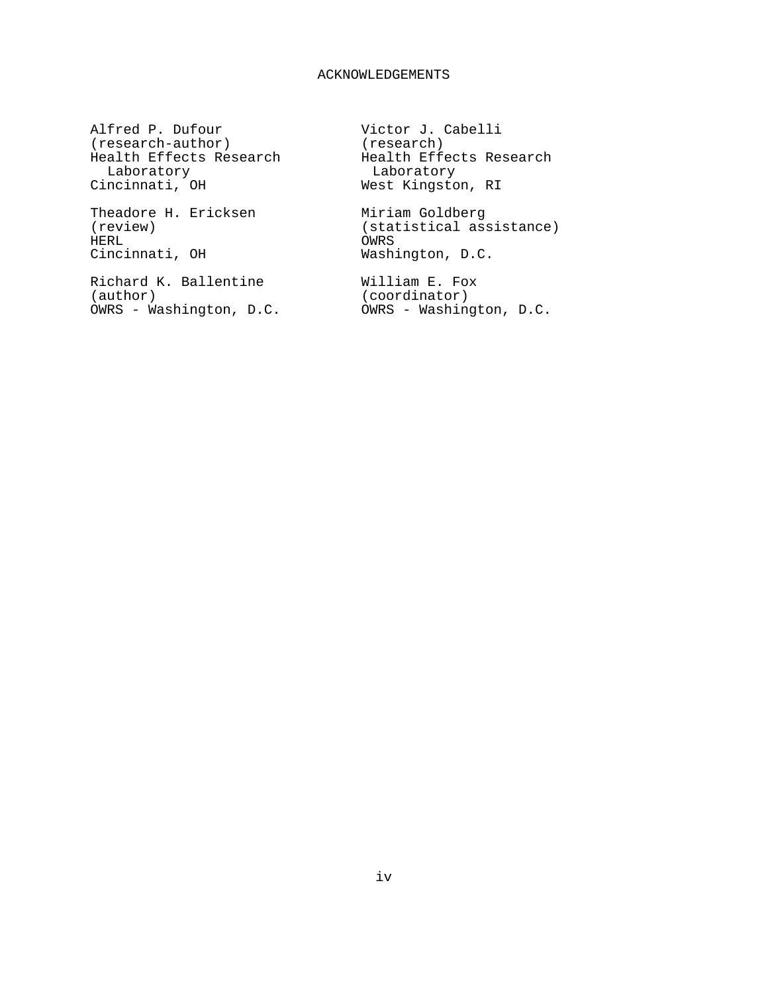#### ACKNOWLEDGEMENTS

Alfred P. Dufour (research-author) Health Effects Research Laboratory Cincinnati, OH

Theadore H. Ericksen (review) HERL Cincinnati, OH

Richard K. Ballentine (author) OWRS - Washington, D.C.

Victor J. Cabelli (research) Health Effects Research Laboratory West Kingston, RI

Miriam Goldberg (statistical assistance) OWRS Washington, D.C.

William E. Fox (coordinator) OWRS - Washington, D.C.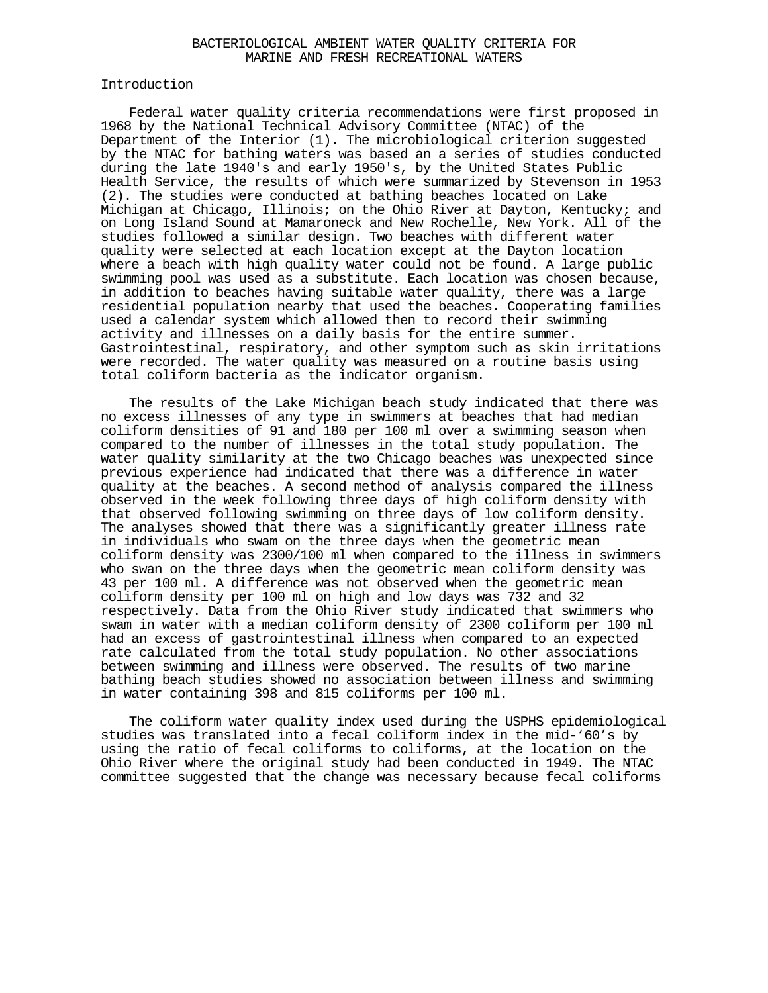#### BACTERIOLOGICAL AMBIENT WATER QUALITY CRITERIA FOR MARINE AND FRESH RECREATIONAL WATERS

#### Introduction

Federal water quality criteria recommendations were first proposed in 1968 by the National Technical Advisory Committee (NTAC) of the Department of the Interior (1). The microbiological criterion suggested by the NTAC for bathing waters was based an a series of studies conducted during the late 1940's and early 1950's, by the United States Public Health Service, the results of which were summarized by Stevenson in 1953 (2). The studies were conducted at bathing beaches located on Lake Michigan at Chicago, Illinois; on the Ohio River at Dayton, Kentucky; and on Long Island Sound at Mamaroneck and New Rochelle, New York. All of the studies followed a similar design. Two beaches with different water quality were selected at each location except at the Dayton location where a beach with high quality water could not be found. A large public swimming pool was used as a substitute. Each location was chosen because, in addition to beaches having suitable water quality, there was a large residential population nearby that used the beaches. Cooperating families used a calendar system which allowed then to record their swimming activity and illnesses on a daily basis for the entire summer. Gastrointestinal, respiratory, and other symptom such as skin irritations were recorded. The water quality was measured on a routine basis using total coliform bacteria as the indicator organism.

The results of the Lake Michigan beach study indicated that there was no excess illnesses of any type in swimmers at beaches that had median coliform densities of 91 and 180 per 100 ml over a swimming season when compared to the number of illnesses in the total study population. The water quality similarity at the two Chicago beaches was unexpected since previous experience had indicated that there was a difference in water quality at the beaches. A second method of analysis compared the illness observed in the week following three days of high coliform density with that observed following swimming on three days of low coliform density. The analyses showed that there was a significantly greater illness rate in individuals who swam on the three days when the geometric mean coliform density was 2300/100 ml when compared to the illness in swimmers who swan on the three days when the geometric mean coliform density was 43 per 100 ml. A difference was not observed when the geometric mean coliform density per 100 ml on high and low days was 732 and 32 respectively. Data from the Ohio River study indicated that swimmers who swam in water with a median coliform density of 2300 coliform per 100 ml had an excess of gastrointestinal illness when compared to an expected rate calculated from the total study population. No other associations between swimming and illness were observed. The results of two marine bathing beach studies showed no association between illness and swimming in water containing 398 and 815 coliforms per 100 ml.

The coliform water quality index used during the USPHS epidemiological studies was translated into a fecal coliform index in the mid-'60's by using the ratio of fecal coliforms to coliforms, at the location on the Ohio River where the original study had been conducted in 1949. The NTAC committee suggested that the change was necessary because fecal coliforms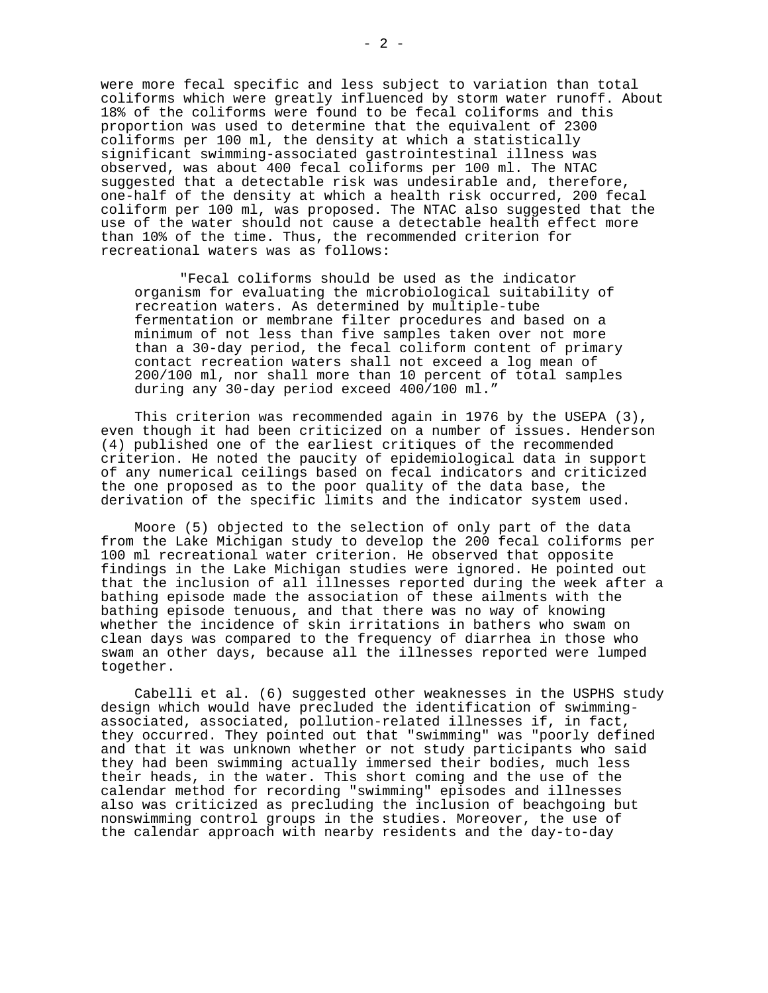were more fecal specific and less subject to variation than total coliforms which were greatly influenced by storm water runoff. About 18% of the coliforms were found to be fecal coliforms and this proportion was used to determine that the equivalent of 2300 coliforms per 100 ml, the density at which a statistically significant swimming-associated gastrointestinal illness was observed, was about 400 fecal coliforms per 100 ml. The NTAC suggested that a detectable risk was undesirable and, therefore, one-half of the density at which a health risk occurred, 200 fecal coliform per 100 ml, was proposed. The NTAC also suggested that the use of the water should not cause a detectable health effect more than 10% of the time. Thus, the recommended criterion for recreational waters was as follows:

"Fecal coliforms should be used as the indicator organism for evaluating the microbiological suitability of recreation waters. As determined by multiple-tube fermentation or membrane filter procedures and based on a minimum of not less than five samples taken over not more than a 30-day period, the fecal coliform content of primary contact recreation waters shall not exceed a log mean of 200/100 ml, nor shall more than 10 percent of total samples during any 30-day period exceed 400/100 ml."

This criterion was recommended again in 1976 by the USEPA (3), even though it had been criticized on a number of issues. Henderson (4) published one of the earliest critiques of the recommended criterion. He noted the paucity of epidemiological data in support of any numerical ceilings based on fecal indicators and criticized the one proposed as to the poor quality of the data base, the derivation of the specific limits and the indicator system used.

Moore (5) objected to the selection of only part of the data from the Lake Michigan study to develop the 200 fecal coliforms per 100 ml recreational water criterion. He observed that opposite findings in the Lake Michigan studies were ignored. He pointed out that the inclusion of all illnesses reported during the week after a bathing episode made the association of these ailments with the bathing episode tenuous, and that there was no way of knowing whether the incidence of skin irritations in bathers who swam on clean days was compared to the frequency of diarrhea in those who swam an other days, because all the illnesses reported were lumped together.

Cabelli et al. (6) suggested other weaknesses in the USPHS study design which would have precluded the identification of swimming associated, associated, pollution-related illnesses if, in fact, they occurred. They pointed out that "swimming" was "poorly defined and that it was unknown whether or not study participants who said they had been swimming actually immersed their bodies, much less their heads, in the water. This short coming and the use of the calendar method for recording "swimming" episodes and illnesses also was criticized as precluding the inclusion of beachgoing but nonswimming control groups in the studies. Moreover, the use of the calendar approach with nearby residents and the day-to-day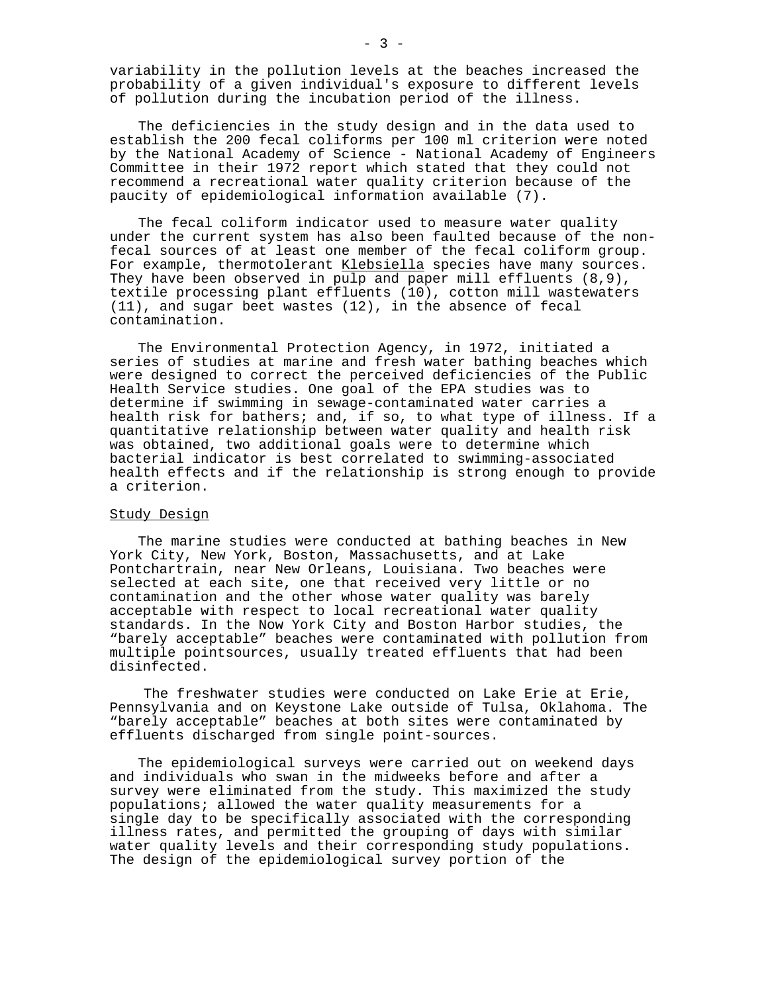variability in the pollution levels at the beaches increased the probability of a given individual's exposure to different levels of pollution during the incubation period of the illness.

The deficiencies in the study design and in the data used to establish the 200 fecal coliforms per 100 ml criterion were noted by the National Academy of Science - National Academy of Engineers Committee in their 1972 report which stated that they could not recommend a recreational water quality criterion because of the paucity of epidemiological information available (7).

The fecal coliform indicator used to measure water quality under the current system has also been faulted because of the non fecal sources of at least one member of the fecal coliform group. For example, thermotolerant Klebsiella species have many sources. They have been observed in pulp and paper mill effluents (8,9), textile processing plant effluents (10), cotton mill wastewaters (11), and sugar beet wastes (12), in the absence of fecal contamination.

The Environmental Protection Agency, in 1972, initiated a series of studies at marine and fresh water bathing beaches which were designed to correct the perceived deficiencies of the Public Health Service studies. One goal of the EPA studies was to determine if swimming in sewage-contaminated water carries a health risk for bathers; and, if so, to what type of illness. If a quantitative relationship between water quality and health risk was obtained, two additional goals were to determine which bacterial indicator is best correlated to swimming-associated health effects and if the relationship is strong enough to provide a criterion.

#### Study Design

The marine studies were conducted at bathing beaches in New York City, New York, Boston, Massachusetts, and at Lake Pontchartrain, near New Orleans, Louisiana. Two beaches were selected at each site, one that received very little or no contamination and the other whose water quality was barely acceptable with respect to local recreational water quality standards. In the Now York City and Boston Harbor studies, the "barely acceptable" beaches were contaminated with pollution from multiple pointsources, usually treated effluents that had been disinfected.

The freshwater studies were conducted on Lake Erie at Erie, Pennsylvania and on Keystone Lake outside of Tulsa, Oklahoma. The "barely acceptable" beaches at both sites were contaminated by effluents discharged from single point-sources.

The epidemiological surveys were carried out on weekend days and individuals who swan in the midweeks before and after a survey were eliminated from the study. This maximized the study populations; allowed the water quality measurements for a single day to be specifically associated with the corresponding illness rates, and permitted the grouping of days with similar water quality levels and their corresponding study populations. The design of the epidemiological survey portion of the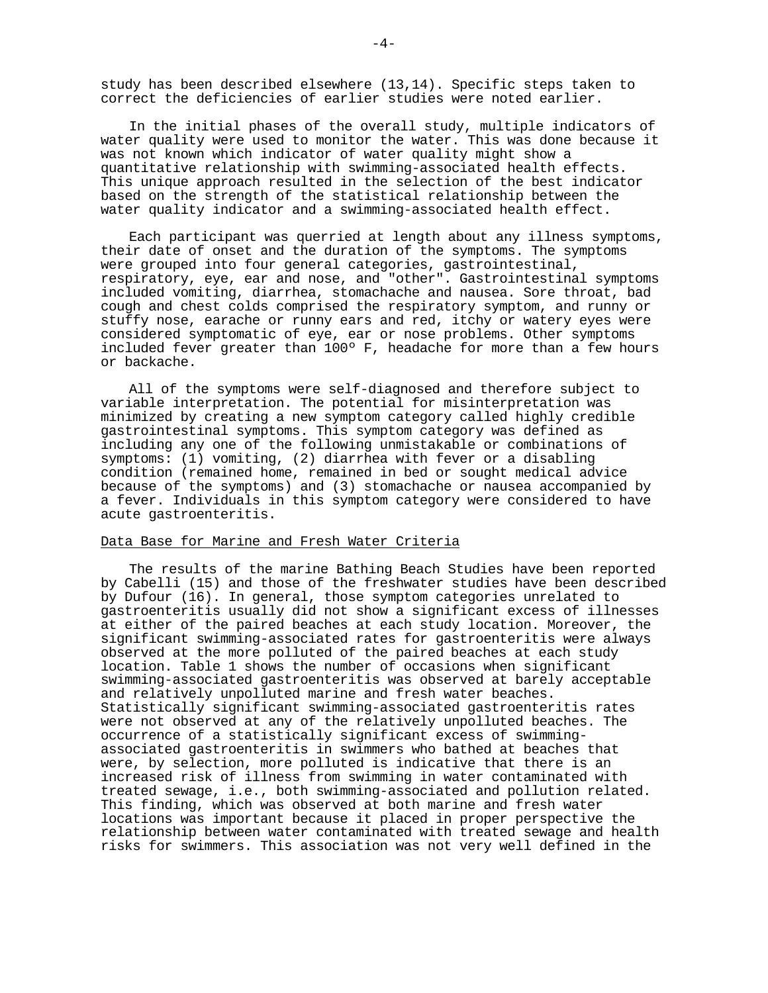study has been described elsewhere (13,14). Specific steps taken to correct the deficiencies of earlier studies were noted earlier.

In the initial phases of the overall study, multiple indicators of water quality were used to monitor the water. This was done because it was not known which indicator of water quality might show a quantitative relationship with swimming-associated health effects. This unique approach resulted in the selection of the best indicator based on the strength of the statistical relationship between the water quality indicator and a swimming-associated health effect.

Each participant was querried at length about any illness symptoms, their date of onset and the duration of the symptoms. The symptoms were grouped into four general categories, gastrointestinal, respiratory, eye, ear and nose, and "other". Gastrointestinal symptoms included vomiting, diarrhea, stomachache and nausea. Sore throat, bad cough and chest colds comprised the respiratory symptom, and runny or stuffy nose, earache or runny ears and red, itchy or watery eyes were considered symptomatic of eye, ear or nose problems. Other symptoms included fever greater than 100º F, headache for more than a few hours or backache.

All of the symptoms were self-diagnosed and therefore subject to variable interpretation. The potential for misinterpretation was minimized by creating a new symptom category called highly credible gastrointestinal symptoms. This symptom category was defined as including any one of the following unmistakable or combinations of symptoms: (1) vomiting, (2) diarrhea with fever or a disabling condition (remained home, remained in bed or sought medical advice because of the symptoms) and (3) stomachache or nausea accompanied by a fever. Individuals in this symptom category were considered to have acute gastroenteritis.

#### Data Base for Marine and Fresh Water Criteria

The results of the marine Bathing Beach Studies have been reported by Cabelli (15) and those of the freshwater studies have been described by Dufour (16). In general, those symptom categories unrelated to gastroenteritis usually did not show a significant excess of illnesses at either of the paired beaches at each study location. Moreover, the significant swimming-associated rates for gastroenteritis were always observed at the more polluted of the paired beaches at each study location. Table 1 shows the number of occasions when significant swimming-associated gastroenteritis was observed at barely acceptable and relatively unpolluted marine and fresh water beaches. Statistically significant swimming-associated gastroenteritis rates were not observed at any of the relatively unpolluted beaches. The occurrence of a statistically significant excess of swimming associated gastroenteritis in swimmers who bathed at beaches that were, by selection, more polluted is indicative that there is an increased risk of illness from swimming in water contaminated with treated sewage, i.e., both swimming-associated and pollution related. This finding, which was observed at both marine and fresh water locations was important because it placed in proper perspective the relationship between water contaminated with treated sewage and health risks for swimmers. This association was not very well defined in the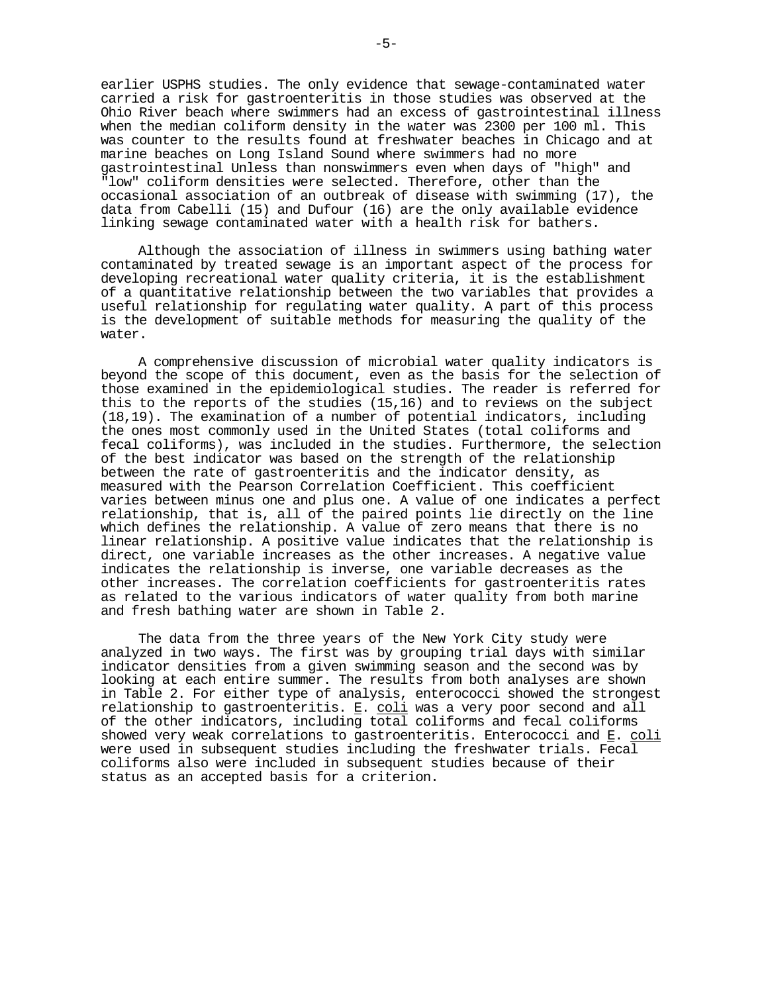earlier USPHS studies. The only evidence that sewage-contaminated water carried a risk for gastroenteritis in those studies was observed at the Ohio River beach where swimmers had an excess of gastrointestinal illness when the median coliform density in the water was 2300 per 100 ml. This was counter to the results found at freshwater beaches in Chicago and at marine beaches on Long Island Sound where swimmers had no more gastrointestinal Unless than nonswimmers even when days of "high" and "low" coliform densities were selected. Therefore, other than the occasional association of an outbreak of disease with swimming (17), the data from Cabelli (15) and Dufour (16) are the only available evidence linking sewage contaminated water with a health risk for bathers.

Although the association of illness in swimmers using bathing water contaminated by treated sewage is an important aspect of the process for developing recreational water quality criteria, it is the establishment of a quantitative relationship between the two variables that provides a useful relationship for regulating water quality. A part of this process is the development of suitable methods for measuring the quality of the water.

A comprehensive discussion of microbial water quality indicators is beyond the scope of this document, even as the basis for the selection of those examined in the epidemiological studies. The reader is referred for this to the reports of the studies (15,16) and to reviews on the subject (18,19). The examination of a number of potential indicators, including the ones most commonly used in the United States (total coliforms and fecal coliforms), was included in the studies. Furthermore, the selection of the best indicator was based on the strength of the relationship between the rate of gastroenteritis and the indicator density, as measured with the Pearson Correlation Coefficient. This coefficient varies between minus one and plus one. A value of one indicates a perfect relationship, that is, all of the paired points lie directly on the line which defines the relationship. A value of zero means that there is no linear relationship. A positive value indicates that the relationship is direct, one variable increases as the other increases. A negative value indicates the relationship is inverse, one variable decreases as the other increases. The correlation coefficients for gastroenteritis rates as related to the various indicators of water quality from both marine and fresh bathing water are shown in Table 2.

The data from the three years of the New York City study were analyzed in two ways. The first was by grouping trial days with similar indicator densities from a given swimming season and the second was by looking at each entire summer. The results from both analyses are shown in Table 2. For either type of analysis, enterococci showed the strongest relationship to gastroenteritis. E. coli was a very poor second and all of the other indicators, including total coliforms and fecal coliforms showed very weak correlations to gastroenteritis. Enterococci and E. coli were used in subsequent studies including the freshwater trials. Fecal coliforms also were included in subsequent studies because of their status as an accepted basis for a criterion.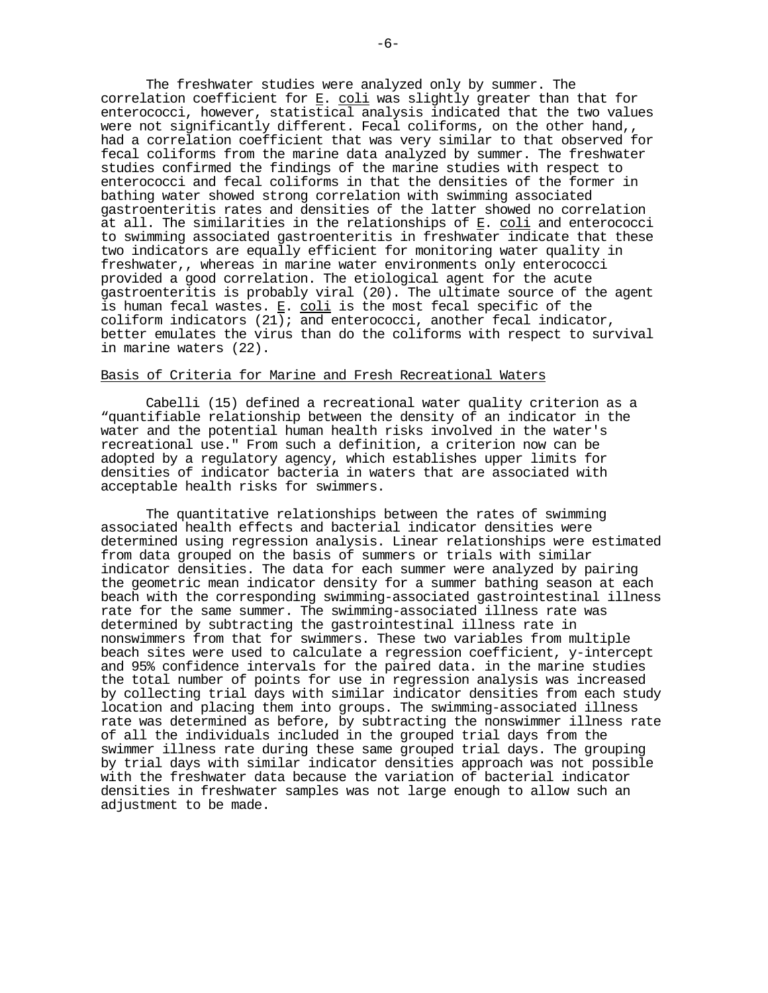The freshwater studies were analyzed only by summer. The correlation coefficient for  $E.$  coli was slightly greater than that for enterococci, however, statistical analysis indicated that the two values were not significantly different. Fecal coliforms, on the other hand,, had a correlation coefficient that was very similar to that observed for fecal coliforms from the marine data analyzed by summer. The freshwater studies confirmed the findings of the marine studies with respect to enterococci and fecal coliforms in that the densities of the former in bathing water showed strong correlation with swimming associated gastroenteritis rates and densities of the latter showed no correlation at all. The similarities in the relationships of E. coli and enterococci to swimming associated gastroenteritis in freshwater indicate that these two indicators are equally efficient for monitoring water quality in freshwater,, whereas in marine water environments only enterococci provided a good correlation. The etiological agent for the acute gastroenteritis is probably viral (20). The ultimate source of the agent is human fecal wastes. E. coli is the most fecal specific of the coliform indicators (21); and enterococci, another fecal indicator, better emulates the virus than do the coliforms with respect to survival in marine waters (22).

#### Basis of Criteria for Marine and Fresh Recreational Waters

Cabelli (15) defined a recreational water quality criterion as a "quantifiable relationship between the density of an indicator in the water and the potential human health risks involved in the water's recreational use." From such a definition, a criterion now can be adopted by a regulatory agency, which establishes upper limits for densities of indicator bacteria in waters that are associated with acceptable health risks for swimmers.

The quantitative relationships between the rates of swimming associated health effects and bacterial indicator densities were determined using regression analysis. Linear relationships were estimated from data grouped on the basis of summers or trials with similar indicator densities. The data for each summer were analyzed by pairing the geometric mean indicator density for a summer bathing season at each beach with the corresponding swimming-associated gastrointestinal illness rate for the same summer. The swimming-associated illness rate was determined by subtracting the gastrointestinal illness rate in nonswimmers from that for swimmers. These two variables from multiple beach sites were used to calculate a regression coefficient, y-intercept and 95% confidence intervals for the paired data. in the marine studies the total number of points for use in regression analysis was increased by collecting trial days with similar indicator densities from each study location and placing them into groups. The swimming-associated illness rate was determined as before, by subtracting the nonswimmer illness rate of all the individuals included in the grouped trial days from the swimmer illness rate during these same grouped trial days. The grouping by trial days with similar indicator densities approach was not possible with the freshwater data because the variation of bacterial indicator densities in freshwater samples was not large enough to allow such an adjustment to be made.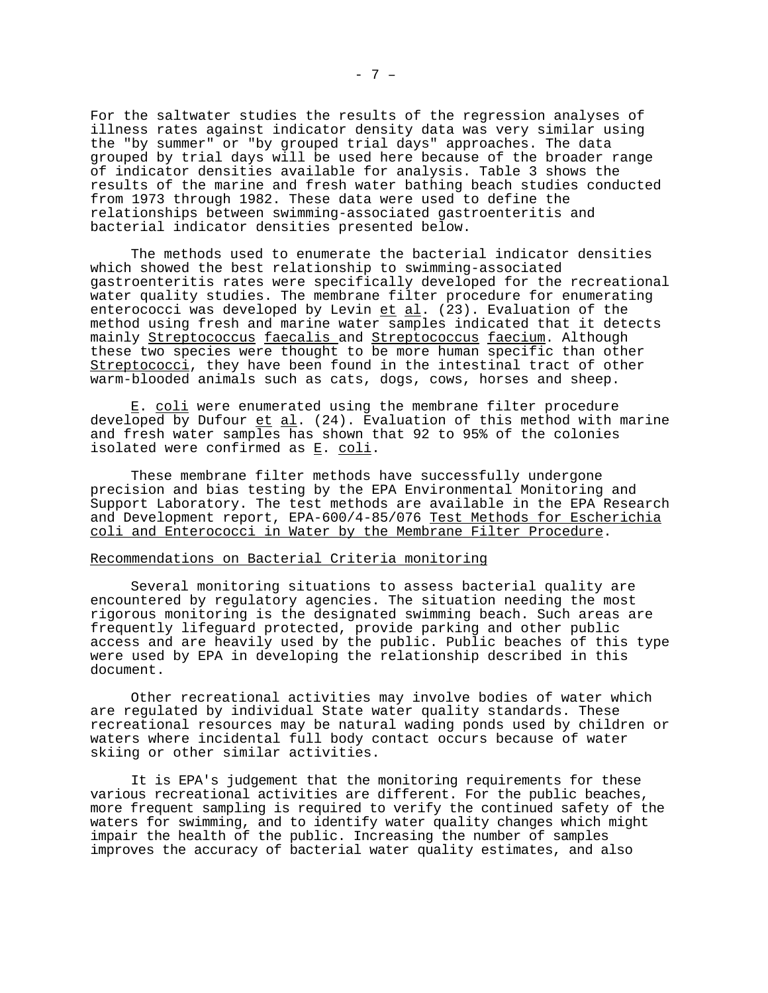For the saltwater studies the results of the regression analyses of illness rates against indicator density data was very similar using the "by summer" or "by grouped trial days" approaches. The data grouped by trial days will be used here because of the broader range of indicator densities available for analysis. Table 3 shows the results of the marine and fresh water bathing beach studies conducted from 1973 through 1982. These data were used to define the relationships between swimming-associated gastroenteritis and bacterial indicator densities presented below.

The methods used to enumerate the bacterial indicator densities which showed the best relationship to swimming-associated gastroenteritis rates were specifically developed for the recreational water quality studies. The membrane filter procedure for enumerating enterococci was developed by Levin et al. (23). Evaluation of the method using fresh and marine water samples indicated that it detects mainly Streptococcus faecalis and Streptococcus faecium. Although these two species were thought to be more human specific than other Streptococci, they have been found in the intestinal tract of other warm-blooded animals such as cats, dogs, cows, horses and sheep.

E. coli were enumerated using the membrane filter procedure developed by Dufour et al. (24). Evaluation of this method with marine and fresh water samples has shown that 92 to 95% of the colonies isolated were confirmed as E. coli.

These membrane filter methods have successfully undergone precision and bias testing by the EPA Environmental Monitoring and Support Laboratory. The test methods are available in the EPA Research and Development report, EPA-600/4-85/076 Test Methods for Escherichia coli and Enterococci in Water by the Membrane Filter Procedure.

#### Recommendations on Bacterial Criteria monitoring

Several monitoring situations to assess bacterial quality are encountered by regulatory agencies. The situation needing the most rigorous monitoring is the designated swimming beach. Such areas are frequently lifeguard protected, provide parking and other public access and are heavily used by the public. Public beaches of this type were used by EPA in developing the relationship described in this document.

Other recreational activities may involve bodies of water which are regulated by individual State water quality standards. These recreational resources may be natural wading ponds used by children or waters where incidental full body contact occurs because of water skiing or other similar activities.

It is EPA's judgement that the monitoring requirements for these various recreational activities are different. For the public beaches, more frequent sampling is required to verify the continued safety of the waters for swimming, and to identify water quality changes which might impair the health of the public. Increasing the number of samples improves the accuracy of bacterial water quality estimates, and also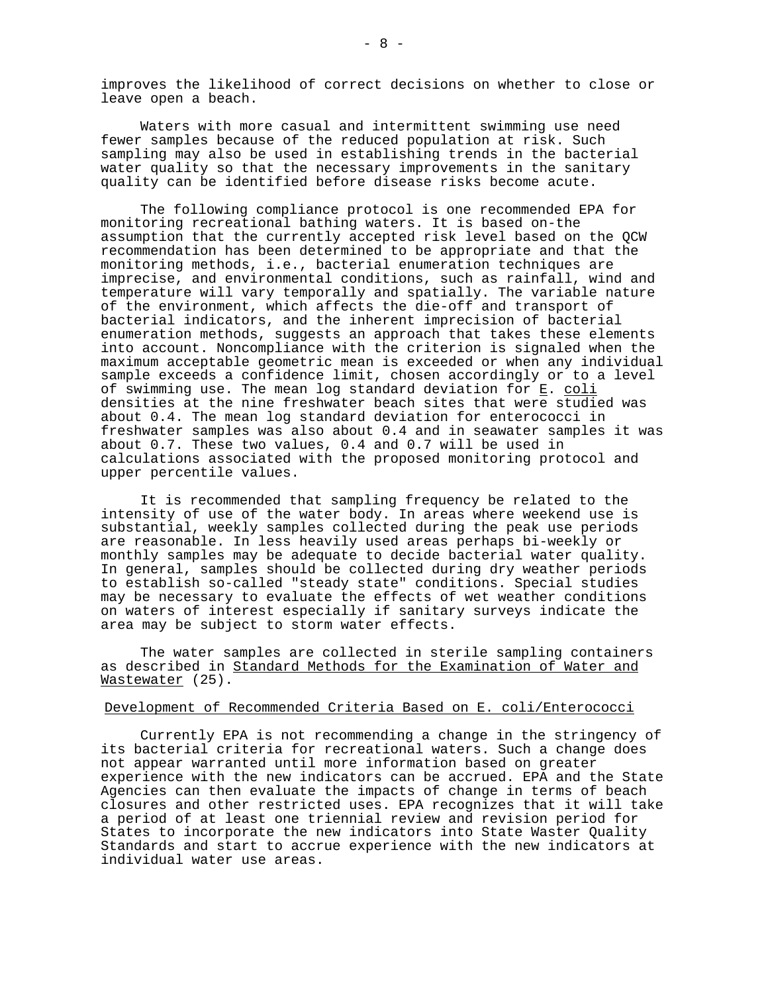improves the likelihood of correct decisions on whether to close or leave open a beach.

Waters with more casual and intermittent swimming use need fewer samples because of the reduced population at risk. Such sampling may also be used in establishing trends in the bacterial water quality so that the necessary improvements in the sanitary quality can be identified before disease risks become acute.

The following compliance protocol is one recommended EPA for monitoring recreational bathing waters. It is based on-the assumption that the currently accepted risk level based on the QCW recommendation has been determined to be appropriate and that the monitoring methods, i.e., bacterial enumeration techniques are imprecise, and environmental conditions, such as rainfall, wind and temperature will vary temporally and spatially. The variable nature of the environment, which affects the die-off and transport of bacterial indicators, and the inherent imprecision of bacterial enumeration methods, suggests an approach that takes these elements into account. Noncompliance with the criterion is signaled when the maximum acceptable geometric mean is exceeded or when any individual sample exceeds a confidence limit, chosen accordingly or to a level of swimming use. The mean log standard deviation for E. coli densities at the nine freshwater beach sites that were studied was about 0.4. The mean log standard deviation for enterococci in freshwater samples was also about 0.4 and in seawater samples it was about 0.7. These two values, 0.4 and 0.7 will be used in calculations associated with the proposed monitoring protocol and upper percentile values.

It is recommended that sampling frequency be related to the intensity of use of the water body. In areas where weekend use is substantial, weekly samples collected during the peak use periods are reasonable. In less heavily used areas perhaps bi-weekly or monthly samples may be adequate to decide bacterial water quality. In general, samples should be collected during dry weather periods to establish so-called "steady state" conditions. Special studies may be necessary to evaluate the effects of wet weather conditions on waters of interest especially if sanitary surveys indicate the area may be subject to storm water effects.

The water samples are collected in sterile sampling containers as described in <u>Standard Methods for the Examination of Water and</u> Wastewater (25).

#### Development of Recommended Criteria Based on E. coli/Enterococci

Currently EPA is not recommending a change in the stringency of its bacterial criteria for recreational waters. Such a change does not appear warranted until more information based on greater experience with the new indicators can be accrued. EPA and the State Agencies can then evaluate the impacts of change in terms of beach closures and other restricted uses. EPA recognizes that it will take a period of at least one triennial review and revision period for States to incorporate the new indicators into State Waster Quality Standards and start to accrue experience with the new indicators at individual water use areas.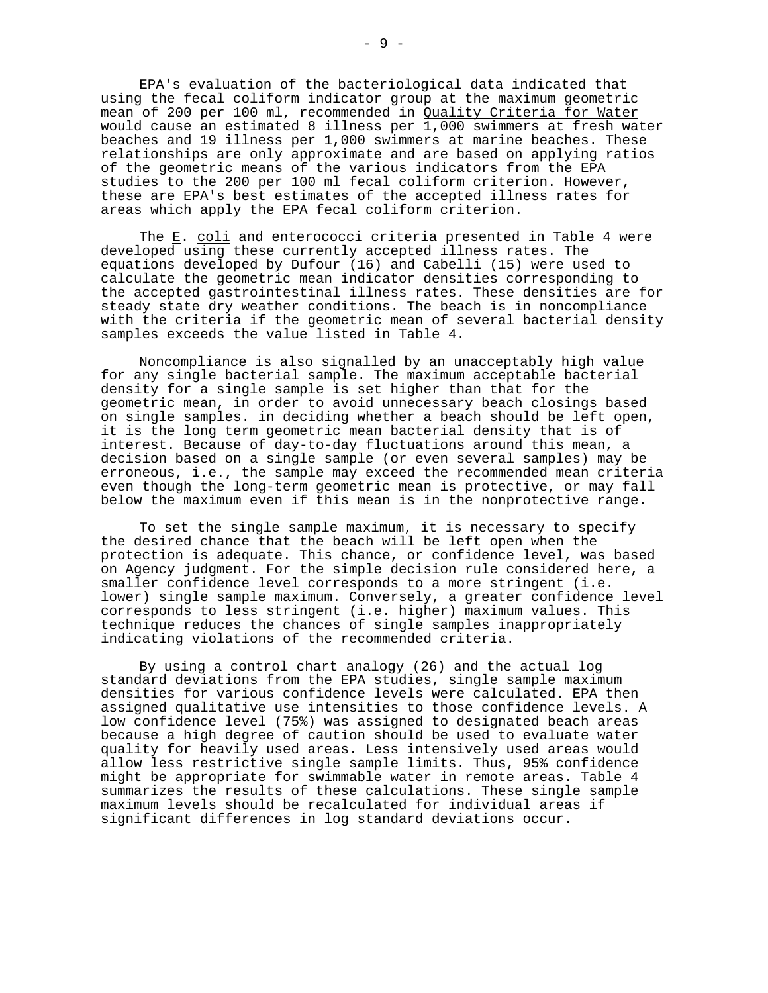EPA's evaluation of the bacteriological data indicated that using the fecal coliform indicator group at the maximum geometric mean of 200 per 100 ml, recommended in <u>Ouality Criteria for Water</u><br>would cause an estimated 8 illness per 1,000 swimmers at fresh water beaches and 19 illness per 1,000 swimmers at marine beaches. These relationships are only approximate and are based on applying ratios of the geometric means of the various indicators from the EPA studies to the 200 per 100 ml fecal coliform criterion. However, these are EPA's best estimates of the accepted illness rates for areas which apply the EPA fecal coliform criterion.

The <u>E. coli</u> and enterococci criteria presented in Table 4 were developed using these currently accepted illness rates. The equations developed by Dufour (16) and Cabelli (15) were used to calculate the geometric mean indicator densities corresponding to the accepted gastrointestinal illness rates. These densities are for steady state dry weather conditions. The beach is in noncompliance with the criteria if the geometric mean of several bacterial density samples exceeds the value listed in Table 4.

Noncompliance is also signalled by an unacceptably high value for any single bacterial sample. The maximum acceptable bacterial density for a single sample is set higher than that for the geometric mean, in order to avoid unnecessary beach closings based on single samples. in deciding whether a beach should be left open, it is the long term geometric mean bacterial density that is of interest. Because of day-to-day fluctuations around this mean, a decision based on a single sample (or even several samples) may be erroneous, i.e., the sample may exceed the recommended mean criteria even though the long-term geometric mean is protective, or may fall below the maximum even if this mean is in the nonprotective range.

To set the single sample maximum, it is necessary to specify the desired chance that the beach will be left open when the protection is adequate. This chance, or confidence level, was based on Agency judgment. For the simple decision rule considered here, a smaller confidence level corresponds to a more stringent (i.e. lower) single sample maximum. Conversely, a greater confidence level corresponds to less stringent (i.e. higher) maximum values. This technique reduces the chances of single samples inappropriately indicating violations of the recommended criteria.

By using a control chart analogy (26) and the actual log standard deviations from the EPA studies, single sample maximum densities for various confidence levels were calculated. EPA then assigned qualitative use intensities to those confidence levels. A low confidence level (75%) was assigned to designated beach areas because a high degree of caution should be used to evaluate water quality for heavily used areas. Less intensively used areas would allow less restrictive single sample limits. Thus, 95% confidence might be appropriate for swimmable water in remote areas. Table 4 summarizes the results of these calculations. These single sample maximum levels should be recalculated for individual areas if significant differences in log standard deviations occur.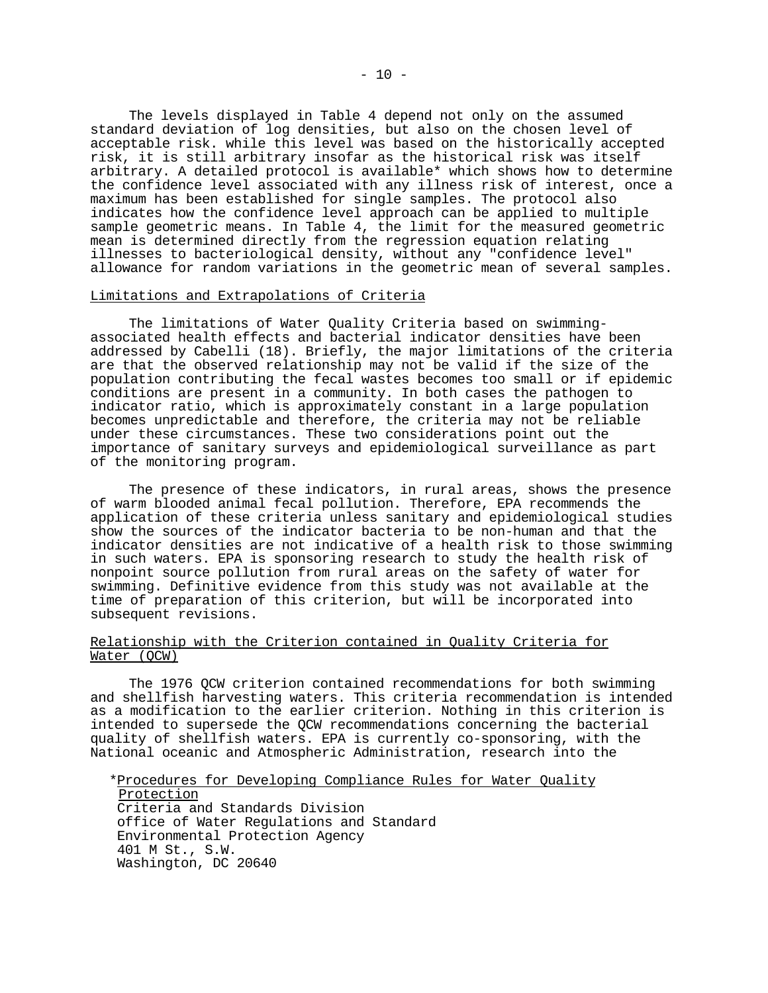The levels displayed in Table 4 depend not only on the assumed standard deviation of log densities, but also on the chosen level of acceptable risk. while this level was based on the historically accepted risk, it is still arbitrary insofar as the historical risk was itself arbitrary. A detailed protocol is available\* which shows how to determine the confidence level associated with any illness risk of interest, once a maximum has been established for single samples. The protocol also indicates how the confidence level approach can be applied to multiple sample geometric means. In Table 4, the limit for the measured geometric mean is determined directly from the regression equation relating illnesses to bacteriological density, without any "confidence level" allowance for random variations in the geometric mean of several samples.

#### Limitations and Extrapolations of Criteria

The limitations of Water Quality Criteria based on swimming associated health effects and bacterial indicator densities have been addressed by Cabelli (18). Briefly, the major limitations of the criteria are that the observed relationship may not be valid if the size of the population contributing the fecal wastes becomes too small or if epidemic conditions are present in a community. In both cases the pathogen to indicator ratio, which is approximately constant in a large population becomes unpredictable and therefore, the criteria may not be reliable under these circumstances. These two considerations point out the importance of sanitary surveys and epidemiological surveillance as part of the monitoring program.

The presence of these indicators, in rural areas, shows the presence of warm blooded animal fecal pollution. Therefore, EPA recommends the application of these criteria unless sanitary and epidemiological studies show the sources of the indicator bacteria to be non-human and that the indicator densities are not indicative of a health risk to those swimming in such waters. EPA is sponsoring research to study the health risk of nonpoint source pollution from rural areas on the safety of water for swimming. Definitive evidence from this study was not available at the time of preparation of this criterion, but will be incorporated into subsequent revisions.

#### Relationship with the Criterion contained in Quality Criteria for Water (QCW)

The 1976 QCW criterion contained recommendations for both swimming and shellfish harvesting waters. This criteria recommendation is intended as a modification to the earlier criterion. Nothing in this criterion is intended to supersede the QCW recommendations concerning the bacterial quality of shellfish waters. EPA is currently co-sponsoring, with the National oceanic and Atmospheric Administration, research into the

\*Procedures for Developing Compliance Rules for Water Quality

Protection Criteria and Standards Division office of Water Regulations and Standard Environmental Protection Agency 401 M St., S.W. Washington, DC 20640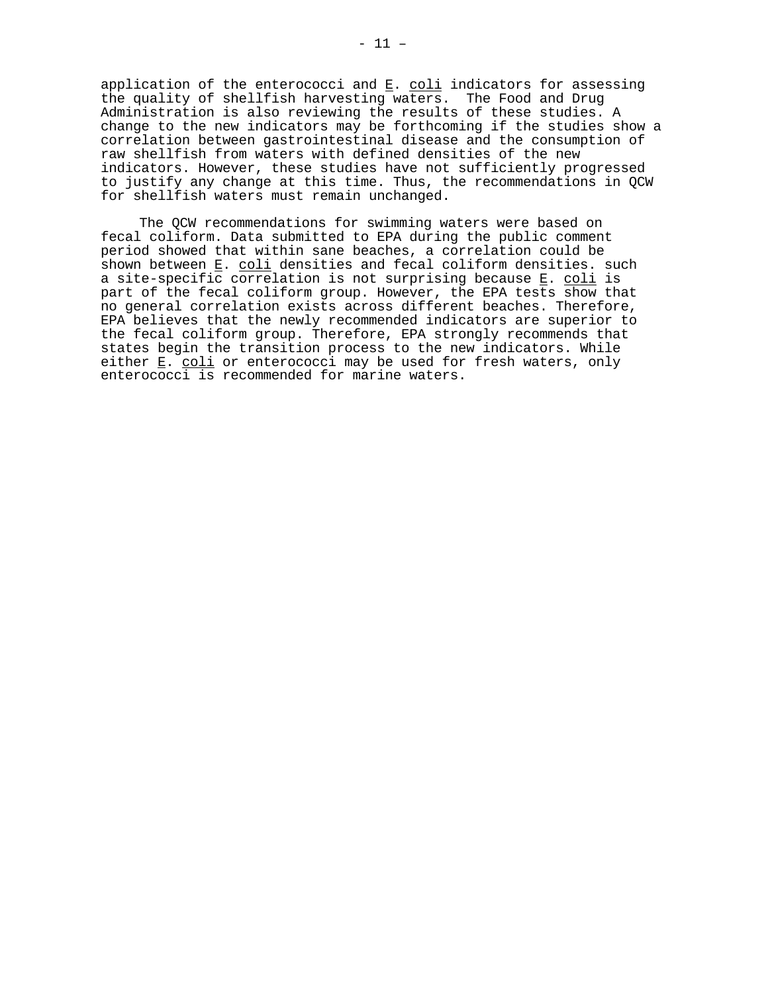application of the enterococci and  $\underline{\mathtt{E}}.$   $\underline{\mathtt{coli}}$  indicators for assessing the quality of shellfish harvesting waters. The Food and Drug Administration is also reviewing the results of these studies. A change to the new indicators may be forthcoming if the studies show a correlation between gastrointestinal disease and the consumption of raw shellfish from waters with defined densities of the new indicators. However, these studies have not sufficiently progressed to justify any change at this time. Thus, the recommendations in QCW for shellfish waters must remain unchanged.

The QCW recommendations for swimming waters were based on fecal coliform. Data submitted to EPA during the public comment period showed that within sane beaches, a correlation could be shown between E. coli densities and fecal coliform densities. such a site-specific correlation is not surprising because E. coli is part of the fecal coliform group. However, the EPA tests show that no general correlation exists across different beaches. Therefore, EPA believes that the newly recommended indicators are superior to the fecal coliform group. Therefore, EPA strongly recommends that states begin the transition process to the new indicators. While either E. coli or enterococci may be used for fresh waters, only enterococci is recommended for marine waters.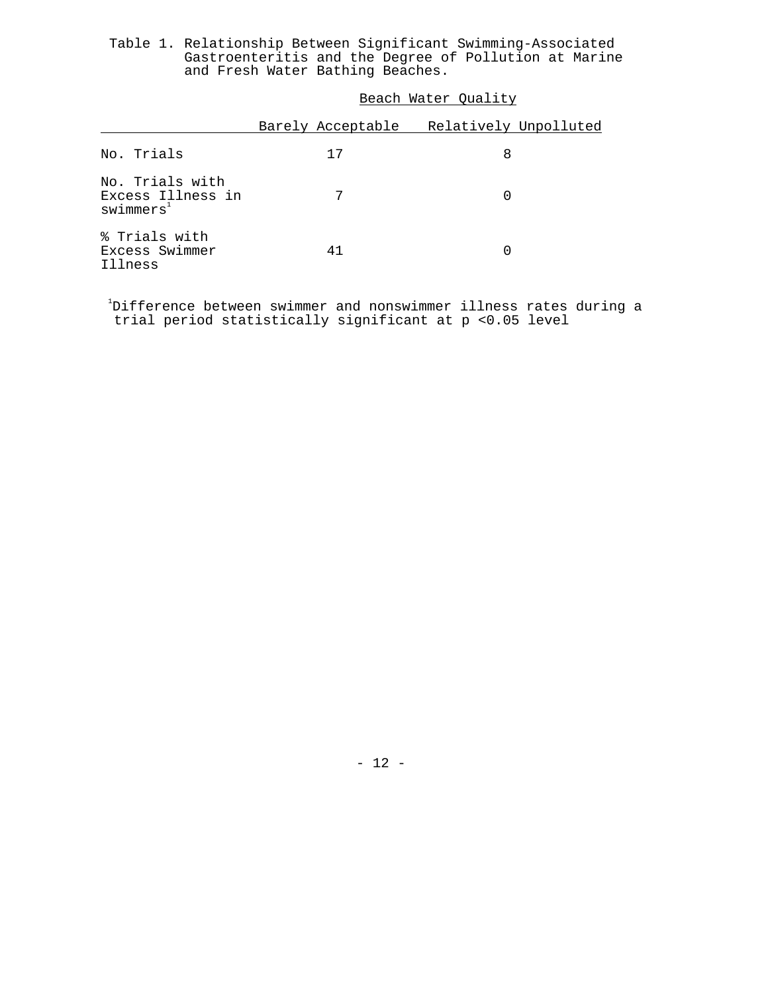Table 1. Relationship Between Significant Swimming-Associated Gastroenteritis and the Degree of Pollution at Marine and Fresh Water Bathing Beaches.

|  |  |  | Beach Water Quality |
|--|--|--|---------------------|
|--|--|--|---------------------|

|                                                              | Barely Acceptable | Relatively Unpolluted |
|--------------------------------------------------------------|-------------------|-----------------------|
| No. Trials                                                   | 17                | 8                     |
| No. Trials with<br>Excess Illness in<br>swimers <sup>1</sup> |                   |                       |
| % Trials with<br>Excess Swimmer<br>Illness                   | 41                |                       |

1 Difference between swimmer and nonswimmer illness rates during a trial period statistically significant at p <0.05 level

- 12 -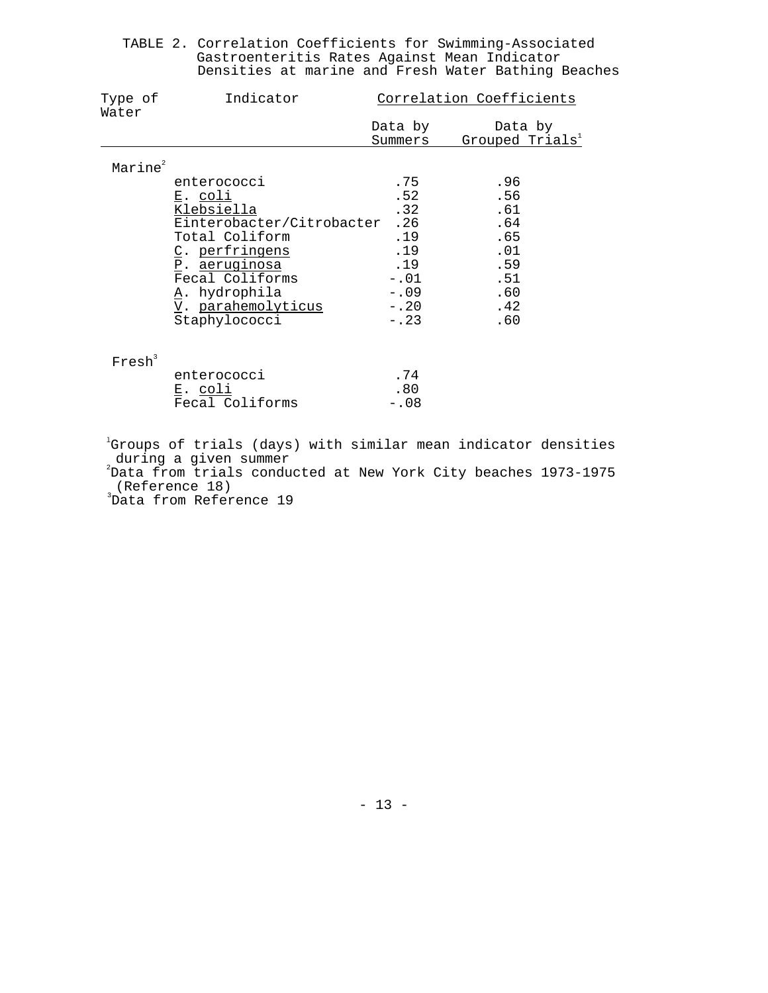|  | TABLE 2. Correlation Coefficients for Swimming-Associated |  |  |  |  |
|--|-----------------------------------------------------------|--|--|--|--|
|  | Gastroenteritis Rates Against Mean Indicator              |  |  |  |  |
|  | Densities at marine and Fresh Water Bathing Beaches       |  |  |  |  |

| Type of<br>Water    | Indicator                 | Correlation Coefficients |                             |  |  |
|---------------------|---------------------------|--------------------------|-----------------------------|--|--|
|                     |                           | Data by                  | Data by                     |  |  |
|                     |                           | Summers                  | Grouped Trials <sup>1</sup> |  |  |
| Marine <sup>2</sup> |                           |                          |                             |  |  |
|                     | enterococci               | .75                      | .96                         |  |  |
|                     | E. coli                   | .52                      | .56                         |  |  |
|                     | Klebsiella                | .32                      | .61                         |  |  |
|                     | Einterobacter/Citrobacter | .26                      | .64                         |  |  |
|                     | Total Coliform            | .19                      | .65                         |  |  |
|                     | C. perfringens            | .19                      | .01                         |  |  |
|                     | <u>P. aeruginosa</u>      | .19                      | .59                         |  |  |
|                     | Fecal Coliforms           | $-.01$                   | .51                         |  |  |
|                     | A. hydrophila             | $-.09$                   | .60                         |  |  |
|                     | V. parahemolyticus        | $-.20$                   | .42                         |  |  |
|                     | Staphylococci             | $-.23$                   | .60                         |  |  |
|                     |                           |                          |                             |  |  |

| enterococci     | .74     |
|-----------------|---------|
| E. coli         | . 80    |
| Fecal Coliforms | $-0.08$ |

<sup>1</sup>Groups of trials (days) with similar mean indicator densities<br>during a given summer<br><sup>2</sup>Data from trials conducted at New York City beaches 1973-1975

(Reference 18)

3 Data from Reference 19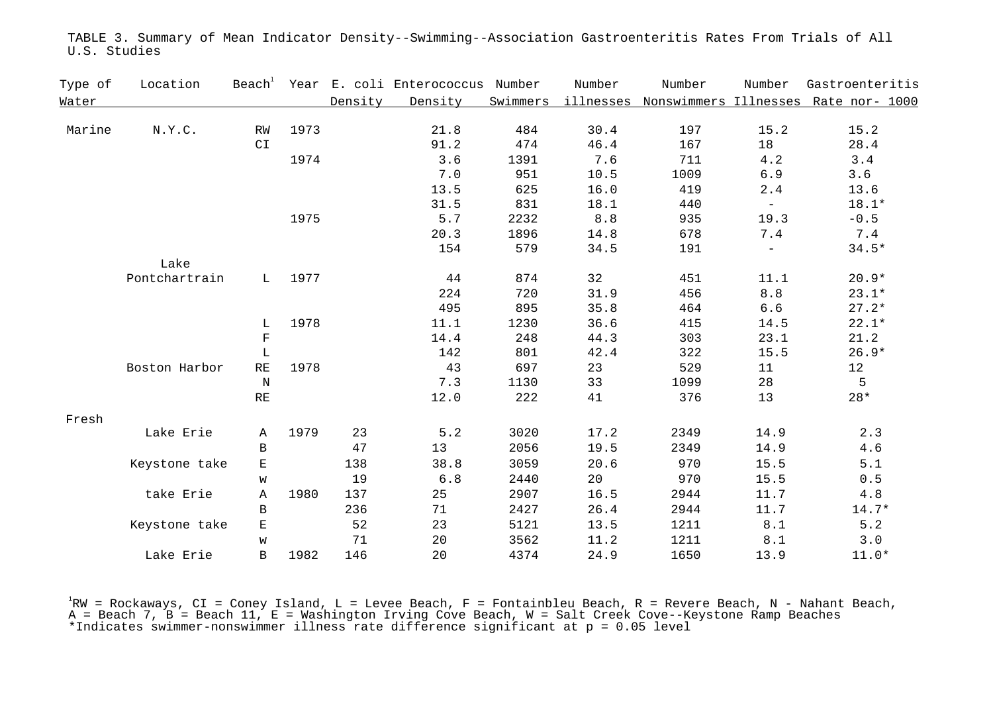| Type of | Location      | Beach <sup>+</sup> | Year |         | E. coli Enterococcus Number |      | Number | Number | Number                   | Gastroenteritis                                         |
|---------|---------------|--------------------|------|---------|-----------------------------|------|--------|--------|--------------------------|---------------------------------------------------------|
| Water   |               |                    |      | Density | Density                     |      |        |        |                          | Swimmers illnesses Nonswimmers Illnesses Rate nor- 1000 |
|         |               |                    |      |         |                             |      |        |        |                          |                                                         |
| Marine  | N.Y.C.        | RW                 | 1973 |         | 21.8                        | 484  | 30.4   | 197    | 15.2                     | 15.2                                                    |
|         |               | CI                 |      |         | 91.2                        | 474  | 46.4   | 167    | 18                       | 28.4                                                    |
|         |               |                    | 1974 |         | 3.6                         | 1391 | 7.6    | 711    | 4.2                      | 3.4                                                     |
|         |               |                    |      |         | 7.0                         | 951  | 10.5   | 1009   | 6.9                      | 3.6                                                     |
|         |               |                    |      |         | 13.5                        | 625  | 16.0   | 419    | 2.4                      | 13.6                                                    |
|         |               |                    |      |         | 31.5                        | 831  | 18.1   | 440    | $\frac{1}{2}$            | 18.1*                                                   |
|         |               |                    | 1975 |         | 5.7                         | 2232 | $8.8$  | 935    | 19.3                     | $-0.5$                                                  |
|         |               |                    |      |         | 20.3                        | 1896 | 14.8   | 678    | 7.4                      | 7.4                                                     |
|         |               |                    |      |         | 154                         | 579  | 34.5   | 191    | $\overline{\phantom{a}}$ | $34.5*$                                                 |
|         | Lake          |                    |      |         |                             |      |        |        |                          |                                                         |
|         | Pontchartrain | L                  | 1977 |         | 44                          | 874  | 32     | 451    | 11.1                     | $20.9*$                                                 |
|         |               |                    |      |         | 224                         | 720  | 31.9   | 456    | $8.8$                    | $23.1*$                                                 |
|         |               |                    |      |         | 495                         | 895  | 35.8   | 464    | $6.6$                    | $27.2*$                                                 |
|         |               | L                  | 1978 |         | 11.1                        | 1230 | 36.6   | 415    | 14.5                     | $22.1*$                                                 |
|         |               | $\mathbf F$        |      |         | 14.4                        | 248  | 44.3   | 303    | 23.1                     | 21.2                                                    |
|         |               | L                  |      |         | 142                         | 801  | 42.4   | 322    | 15.5                     | $26.9*$                                                 |
|         | Boston Harbor | $\mathbb{RE}$      | 1978 |         | 43                          | 697  | 23     | 529    | 11                       | 12                                                      |
|         |               | $\, {\rm N}$       |      |         | 7.3                         | 1130 | 33     | 1099   | 28                       | 5                                                       |
|         |               | $\mathbb{RE}$      |      |         | 12.0                        | 222  | 41     | 376    | 13                       | $28*$                                                   |
|         |               |                    |      |         |                             |      |        |        |                          |                                                         |
| Fresh   | Lake Erie     | Α                  | 1979 | 23      | 5.2                         | 3020 | 17.2   | 2349   | 14.9                     | 2.3                                                     |
|         |               | B                  |      | 47      | 13                          | 2056 | 19.5   | 2349   | 14.9                     | $4.6\,$                                                 |
|         | Keystone take | Е                  |      | 138     | 38.8                        | 3059 | 20.6   | 970    | 15.5                     | $5.1$                                                   |
|         |               | W                  |      | 19      | $6.8$                       | 2440 | 20     | 970    | 15.5                     | $0.5$                                                   |
|         | take Erie     | Α                  | 1980 | 137     | 25                          | 2907 | 16.5   | 2944   | 11.7                     | $4.8\,$                                                 |
|         |               |                    |      |         |                             |      |        |        |                          |                                                         |
|         |               | B                  |      | 236     | 71                          | 2427 | 26.4   | 2944   | 11.7                     | $14.7*$                                                 |
|         | Keystone take | Е                  |      | 52      | 23                          | 5121 | 13.5   | 1211   | 8.1                      | $5.2$                                                   |
|         |               | W                  |      | 71      | 20                          | 3562 | 11.2   | 1211   | 8.1                      | 3.0                                                     |
|         | Lake Erie     | B                  | 1982 | 146     | 20                          | 4374 | 24.9   | 1650   | 13.9                     | $11.0*$                                                 |

TABLE 3. Summary of Mean Indicator Density--Swimming--Association Gastroenteritis Rates From Trials of All U.S. Studies

<sup>1</sup>RW = Rockaways, CI = Coney Island, L = Levee Beach, F = Fontainbleu Beach, R = Revere Beach, N - Nahant Beach,<br>A = Beach 7, B = Beach 11, E = Washington Irving Cove Beach, W = Salt Creek Cove--Keystone Ramp Beaches \*Indicates swimmer-nonswimmer illness rate difference significant at p = 0.05 level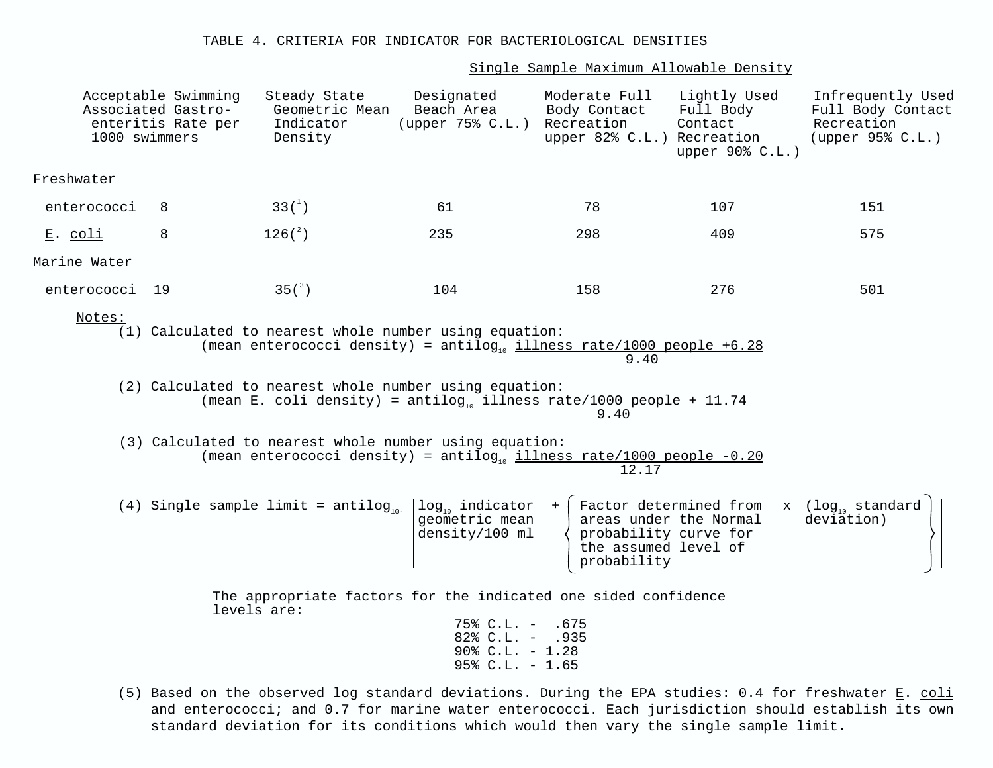Single Sample Maximum Allowable Density

| 1000 swimmers  | Acceptable Swimming<br>Associated Gastro-<br>enteritis Rate per | Steady State<br>Geometric Mean<br>Indicator<br>Density | Designated<br>Beach Area<br>(upper 75% C.L.)                                                                                                                                                                                                                                                                                                                                                                                               | Moderate Full<br>Body Contact<br>Recreation<br>upper 82% C.L.) Recreation                       | Lightly Used<br>Full Body<br>Contact<br>upper 90% C.L.) | Infrequently Used<br>Full Body Contact<br>Recreation<br>(upper 95% C.L.) |
|----------------|-----------------------------------------------------------------|--------------------------------------------------------|--------------------------------------------------------------------------------------------------------------------------------------------------------------------------------------------------------------------------------------------------------------------------------------------------------------------------------------------------------------------------------------------------------------------------------------------|-------------------------------------------------------------------------------------------------|---------------------------------------------------------|--------------------------------------------------------------------------|
| Freshwater     |                                                                 |                                                        |                                                                                                                                                                                                                                                                                                                                                                                                                                            |                                                                                                 |                                                         |                                                                          |
| enterococci    | 8                                                               | $33(^{1})$                                             | 61                                                                                                                                                                                                                                                                                                                                                                                                                                         | 78                                                                                              | 107                                                     | 151                                                                      |
| <u>E. coli</u> | 8                                                               | $126\%)$                                               | 235                                                                                                                                                                                                                                                                                                                                                                                                                                        | 298                                                                                             | 409                                                     | 575                                                                      |
| Marine Water   |                                                                 |                                                        |                                                                                                                                                                                                                                                                                                                                                                                                                                            |                                                                                                 |                                                         |                                                                          |
| enterococci    | 19                                                              | 35(                                                    | 104                                                                                                                                                                                                                                                                                                                                                                                                                                        | 158                                                                                             | 276                                                     | 501                                                                      |
| Notes:         |                                                                 |                                                        | (1) Calculated to nearest whole number using equation:<br>(mean enterococci density) = antilog <sub>10</sub> illness rate/1000 people +6.28<br>(2) Calculated to nearest whole number using equation:<br>(mean $\underline{E}$ . coli density) = antilog <sub>10</sub> illness rate/1000 people + 11.74<br>(3) Calculated to nearest whole number using equation:<br>(mean enterococci density) = antilog illness rate/1000 people $-0.20$ | 9.40<br>9.40                                                                                    |                                                         |                                                                          |
|                |                                                                 |                                                        | (4) Single sample limit = antilog <sub>10-</sub> $\log_{10}$ indicator +<br>geometric mean<br>density/100 ml                                                                                                                                                                                                                                                                                                                               | 12.17<br>Factor determined from<br>probability curve for<br>the assumed level of<br>probability | areas under the Normal                                  | x $(log_{_{10}}$ standard<br>deviation)                                  |
|                |                                                                 | levels are:                                            | The appropriate factors for the indicated one sided confidence<br>$75\%$ C.L. - .675<br>$82\text{° C.L.} - .935$<br>$90\%$ C.L. - 1.28<br>$95\%$ C.L. - 1.65                                                                                                                                                                                                                                                                               |                                                                                                 |                                                         |                                                                          |

(5) Based on the observed log standard deviations. During the EPA studies: 0.4 for freshwater  $E.$  coli and enterococci; and 0.7 for marine water enterococci. Each jurisdiction should establish its own standard deviation for its conditions which would then vary the single sample limit.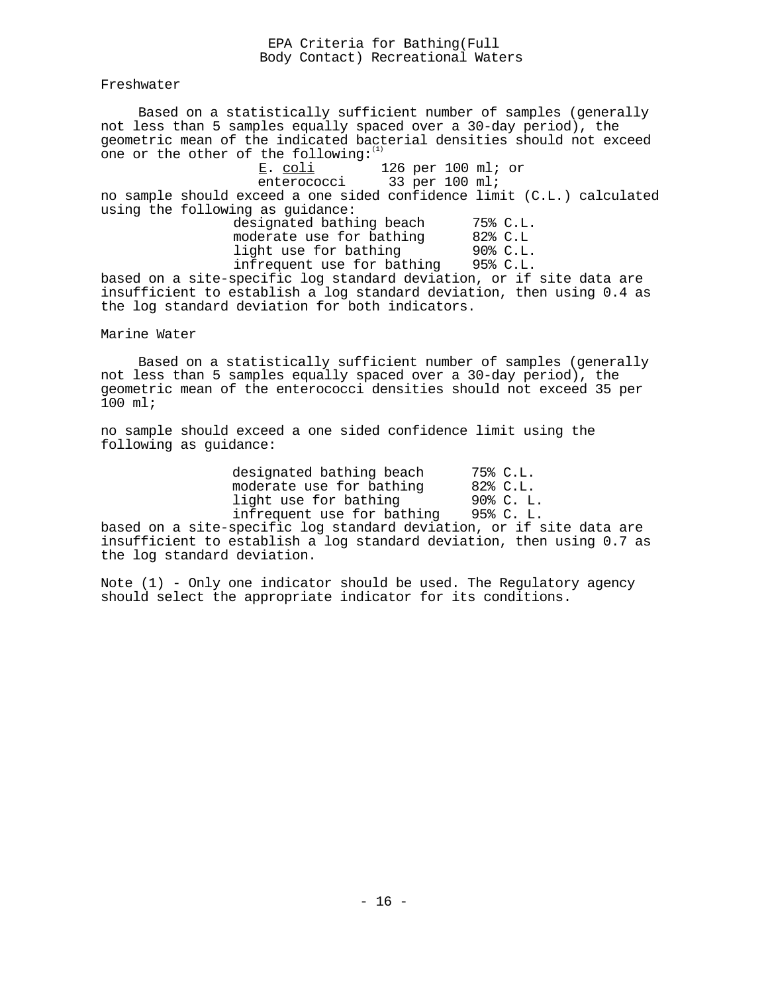#### EPA Criteria for Bathing(Full Body Contact) Recreational Waters

Freshwater

Based on a statistically sufficient number of samples (generally not less than 5 samples equally spaced over a 30-day period), the geometric mean of the indicated bacterial densities should not exceed one or the other of the following:

E. <u>coli</u> 126 per 100 ml; or enterococci 33 per 100 ml;

no sample should exceed a one sided confidence limit (C.L.) calculated using the following as guidance:

designated bathing beach 75% C.L. moderate use for bathing 82% C.L light use for bathing 90% C.L. infrequent use for bathing 95% C.L.

based on a site-specific log standard deviation, or if site data are insufficient to establish a log standard deviation, then using 0.4 as the log standard deviation for both indicators.

Marine Water

Based on a statistically sufficient number of samples (generally not less than 5 samples equally spaced over a 30-day period), the geometric mean of the enterococci densities should not exceed 35 per 100 ml;

no sample should exceed a one sided confidence limit using the following as guidance:

| designated bathing beach   | 75% C.L.  |
|----------------------------|-----------|
| moderate use for bathing   | 82% C.L.  |
| light use for bathing      | 90% C. L. |
| infrequent use for bathing | 95% C. L. |

based on a site-specific log standard deviation, or if site data are insufficient to establish a log standard deviation, then using 0.7 as the log standard deviation.

Note (1) - Only one indicator should be used. The Regulatory agency should select the appropriate indicator for its conditions.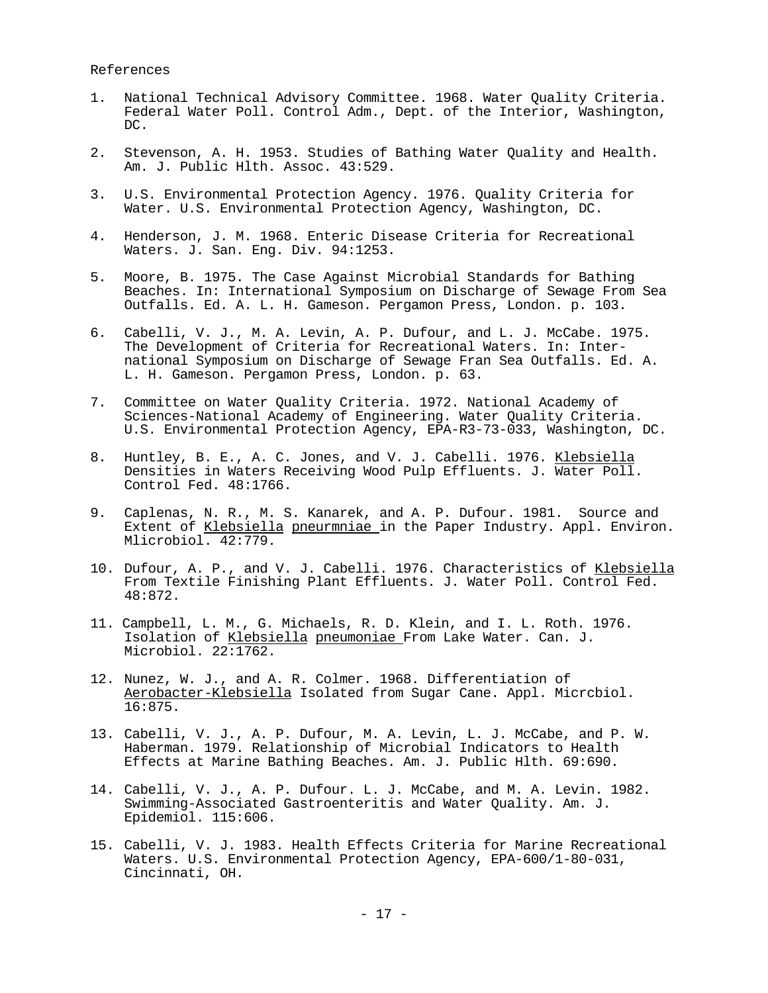References

- 1. National Technical Advisory Committee. 1968. Water Quality Criteria. Federal Water Poll. Control Adm., Dept. of the Interior, Washington, DC.
- 2. Stevenson, A. H. 1953. Studies of Bathing Water Quality and Health. Am. J. Public Hlth. Assoc. 43:529.
- 3. U.S. Environmental Protection Agency. 1976. Quality Criteria for Water. U.S. Environmental Protection Agency, Washington, DC.
- 4. Henderson, J. M. 1968. Enteric Disease Criteria for Recreational Waters. J. San. Eng. Div. 94:1253.
- 5. Moore, B. 1975. The Case Against Microbial Standards for Bathing Beaches. In: International Symposium on Discharge of Sewage From Sea Outfalls. Ed. A. L. H. Gameson. Pergamon Press, London. p. 103.
- 6. Cabelli, V. J., M. A. Levin, A. P. Dufour, and L. J. McCabe. 1975. The Development of Criteria for Recreational Waters. In: Inter national Symposium on Discharge of Sewage Fran Sea Outfalls. Ed. A. L. H. Gameson. Pergamon Press, London. p. 63.
- 7. Committee on Water Quality Criteria. 1972. National Academy of Sciences-National Academy of Engineering. Water Quality Criteria. U.S. Environmental Protection Agency, EPA-R3-73-033, Washington, DC.
- 8. Huntley, B. E., A. C. Jones, and V. J. Cabelli. 1976. Klebsiella Densities in Waters Receiving Wood Pulp Effluents. J. Water Poll. Control Fed. 48:1766.
- 9. Caplenas, N. R., M. S. Kanarek, and A. P. Dufour. 1981. Source and Extent of Klebsiella pneurmniae in the Paper Industry. Appl. Environ. Mlicrobiol. 42:779.
- 10. Dufour, A. P., and V. J. Cabelli. 1976. Characteristics of Klebsiella From Textile Finishing Plant Effluents. J. Water Poll. Control Fed. 48:872.
- 11. Campbell, L. M., G. Michaels, R. D. Klein, and I. L. Roth. 1976. Isolation of Klebsiella pneumoniae From Lake Water. Can. J. Microbiol. 22:1762.
- 12. Nunez, W. J., and A. R. Colmer. 1968. Differentiation of Aerobacter-Klebsiella Isolated from Sugar Cane. Appl. Micrcbiol. 16:875.
- 13. Cabelli, V. J., A. P. Dufour, M. A. Levin, L. J. McCabe, and P. W. Haberman. 1979. Relationship of Microbial Indicators to Health Effects at Marine Bathing Beaches. Am. J. Public Hlth. 69:690.
- 14. Cabelli, V. J., A. P. Dufour. L. J. McCabe, and M. A. Levin. 1982. Swimming-Associated Gastroenteritis and Water Quality. Am. J. Epidemiol. 115:606.
- 15. Cabelli, V. J. 1983. Health Effects Criteria for Marine Recreational Waters. U.S. Environmental Protection Agency, EPA-600/1-80-031, Cincinnati, OH.